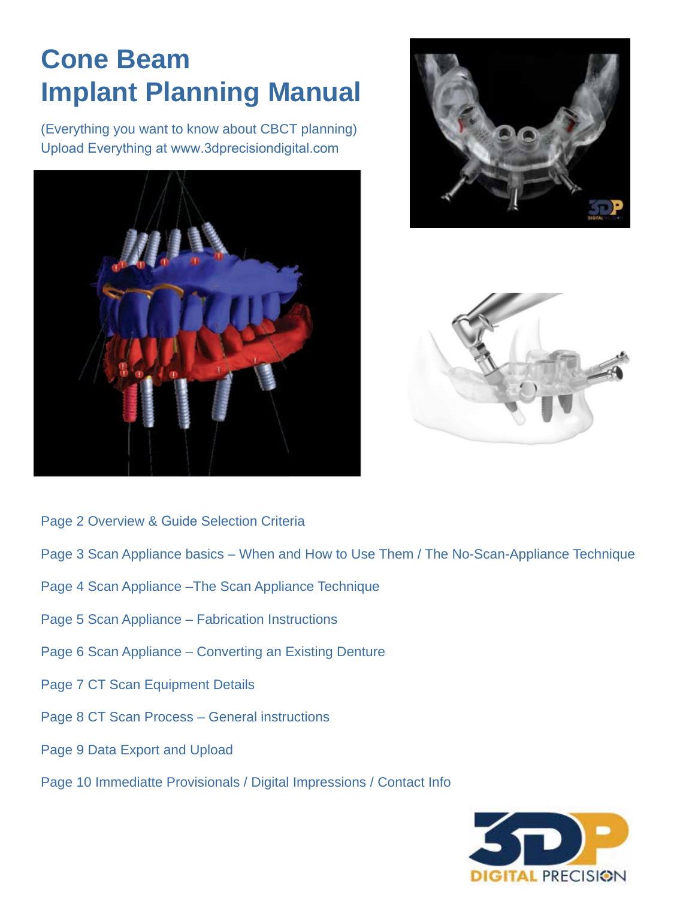# **Cone Beam Implant Planning Manual**

(Everything you want to know about CBCT planning) Upload Everything at www.3dprecisiondigital.com







- Page 2 Overview & Guide Selection Criteria
- Page 3 Scan Appliance basics When and How to Use Them / The No-Scan-Appliance Technique
- Page 4 Scan Appliance –The Scan Appliance Technique
- Page 5 Scan Appliance Fabrication Instructions
- Page 6 Scan Appliance Converting an Existing Denture
- Page 7 CT Scan Equipment Details
- Page 8 CT Scan Process General instructions
- Page 9 Data Export and Upload
- Page 10 Immediatte Provisionals / Digital Impressions / Contact Info

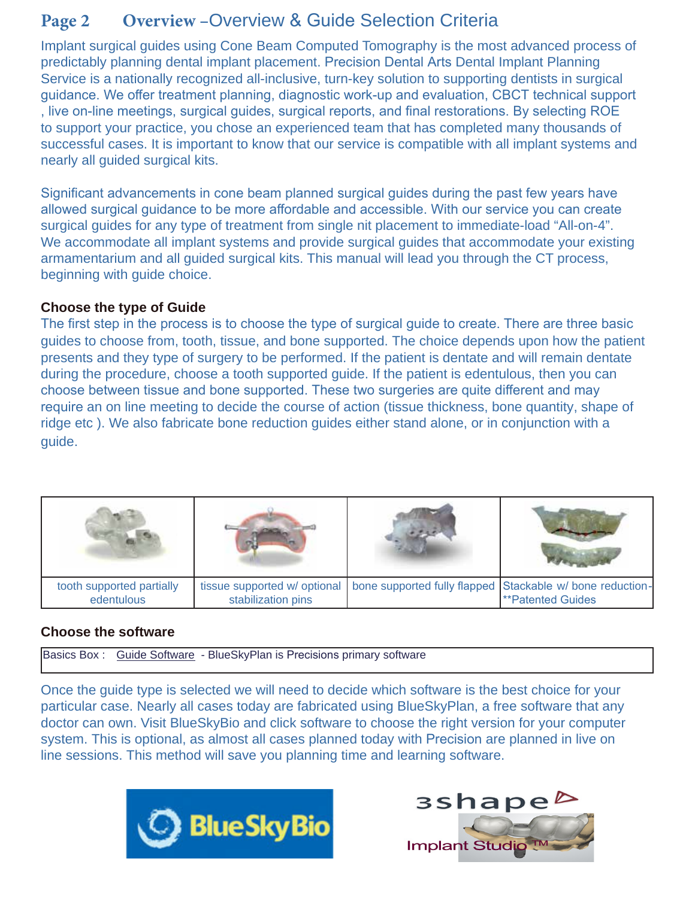# **Page 2 Overview –**Overview & Guide Selection Criteria

Implant surgical guides using Cone Beam Computed Tomography is the most advanced process of predictably planning dental implant placement. Precision Dental Arts Dental Implant Planning Service is a nationally recognized all-inclusive, turn-key solution to supporting dentists in surgical guidance. We offer treatment planning, diagnostic work-up and evaluation, CBCT technical support , live on-line meetings, surgical guides, surgical reports, and final restorations. By selecting ROE to support your practice, you chose an experienced team that has completed many thousands of successful cases. It is important to know that our service is compatible with all implant systems and nearly all guided surgical kits.

Significant advancements in cone beam planned surgical guides during the past few years have allowed surgical guidance to be more affordable and accessible. With our service you can create surgical guides for any type of treatment from single nit placement to immediate-load "All-on-4". We accommodate all implant systems and provide surgical guides that accommodate your existing armamentarium and all guided surgical kits. This manual will lead you through the CT process, beginning with guide choice.

### **Choose the type of Guide**

The first step in the process is to choose the type of surgical guide to create. There are three basic guides to choose from, tooth, tissue, and bone supported. The choice depends upon how the patient presents and they type of surgery to be performed. If the patient is dentate and will remain dentate during the procedure, choose a tooth supported guide. If the patient is edentulous, then you can choose between tissue and bone supported. These two surgeries are quite different and may require an on line meeting to decide the course of action (tissue thickness, bone quantity, shape of ridge etc ). We also fabricate bone reduction guides either stand alone, or in conjunction with a guide.

| tooth supported partially<br>edentulous | stabilization pins | tissue supported w/ optional   bone supported fully flapped   Stackable w/ bone reduction-<br><b>**Patented Guides</b> |
|-----------------------------------------|--------------------|------------------------------------------------------------------------------------------------------------------------|

### **Choose the software**

Basics Box : Guide Software - BlueSkyPlan is Precisions primary software

Once the guide type is selected we will need to decide which software is the best choice for your particular case. Nearly all cases today are fabricated using BlueSkyPlan, a free software that any doctor can own. Visit BlueSkyBio and click software to choose the right version for your computer system. This is optional, as almost all cases planned today with Precision are planned in live on line sessions. This method will save you planning time and learning software.



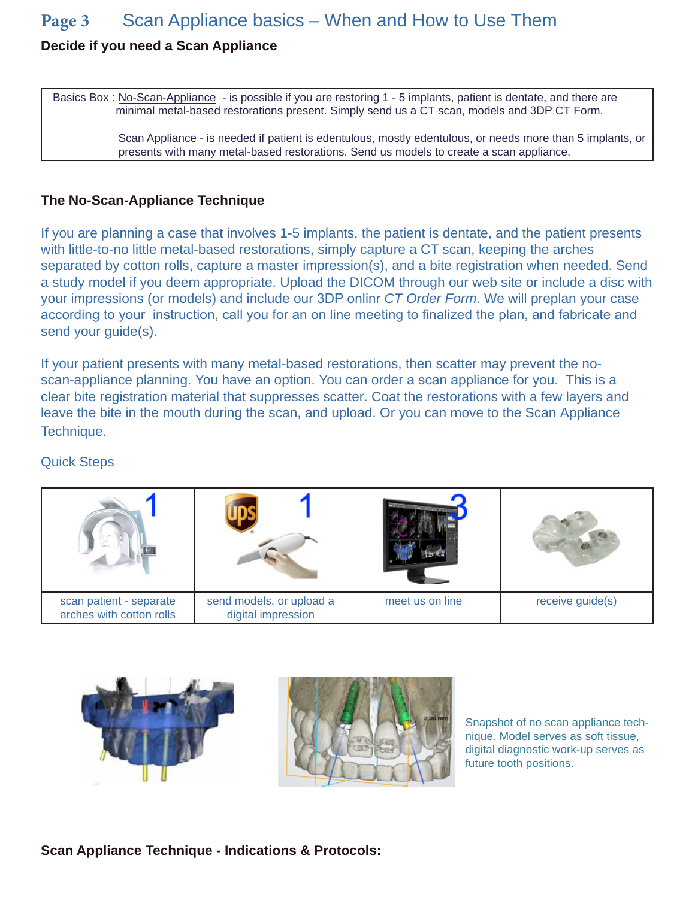### **Page 3** Scan Appliance basics – When and How to Use Them

### **Decide if you need a Scan Appliance**

Basics Box : No-Scan-Appliance - is possible if you are restoring 1 - 5 implants, patient is dentate, and there are minimal metal-based restorations present. Simply send us a CT scan, models and 3DP CT Form.

> Scan Appliance - is needed if patient is edentulous, mostly edentulous, or needs more than 5 implants, or presents with many metal-based restorations. Send us models to create a scan appliance.

#### **The No-Scan-Appliance Technique**

If you are planning a case that involves 1-5 implants, the patient is dentate, and the patient presents with little-to-no little metal-based restorations, simply capture a CT scan, keeping the arches separated by cotton rolls, capture a master impression(s), and a bite registration when needed. Send a study model if you deem appropriate. Upload the DICOM through our web site or include a disc with your impressions (or models) and include our 3DP onlinr *CT Order Form*. We will preplan your case according to your instruction, call you for an on line meeting to finalized the plan, and fabricate and send your guide(s).

If your patient presents with many metal-based restorations, then scatter may prevent the noscan-appliance planning. You have an option. You can order a scan appliance for you. This is a clear bite registration material that suppresses scatter. Coat the restorations with a few layers and leave the bite in the mouth during the scan, and upload. Or you can move to the Scan Appliance Technique.

### Quick Steps

| scan patient - separate<br>arches with cotton rolls | send models, or upload a<br>digital impression | meet us on line | receive guide(s) |
|-----------------------------------------------------|------------------------------------------------|-----------------|------------------|



Snapshot of no scan appliance technique. Model serves as soft tissue, digital diagnostic work-up serves as future tooth positions.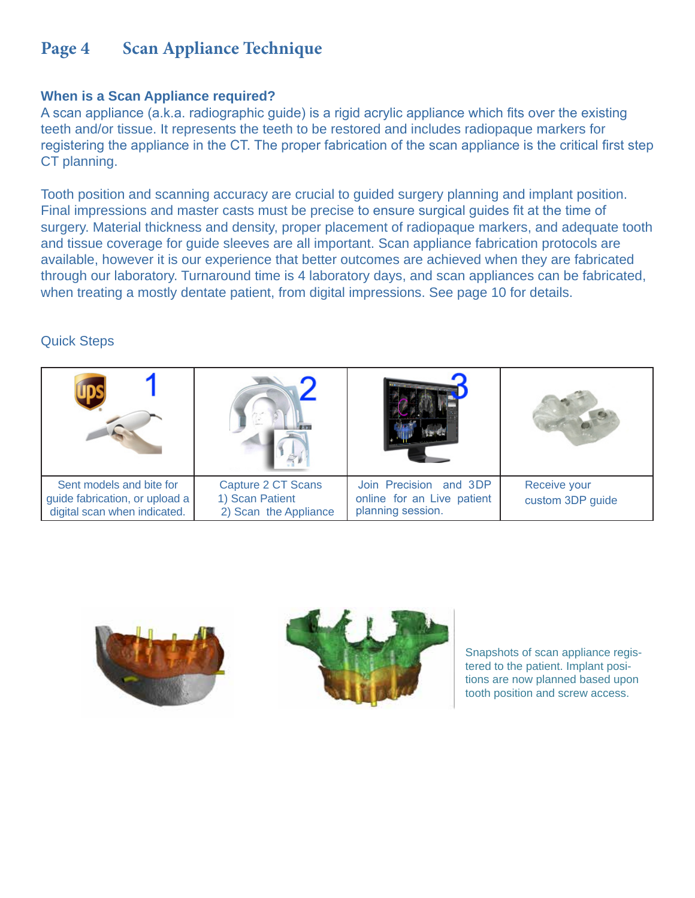### **Page 4 Scan Appliance Technique**

### **When is a Scan Appliance required?**

A scan appliance (a.k.a. radiographic guide) is a rigid acrylic appliance which fits over the existing teeth and/or tissue. It represents the teeth to be restored and includes radiopaque markers for registering the appliance in the CT. The proper fabrication of the scan appliance is the critical first step CT planning.

Tooth position and scanning accuracy are crucial to guided surgery planning and implant position. Final impressions and master casts must be precise to ensure surgical guides fit at the time of surgery. Material thickness and density, proper placement of radiopaque markers, and adequate tooth and tissue coverage for guide sleeves are all important. Scan appliance fabrication protocols are available, however it is our experience that better outcomes are achieved when they are fabricated through our laboratory. Turnaround time is 4 laboratory days, and scan appliances can be fabricated, when treating a mostly dentate patient, from digital impressions. See page 10 for details.

### Quick Steps

| Sent models and bite for<br>guide fabrication, or upload a<br>digital scan when indicated. | Capture 2 CT Scans<br>1) Scan Patient<br>2) Scan the Appliance | Join Precision and 3DP<br>online for an Live patient<br>planning session. | <b>Receive your</b><br>custom 3DP guide |
|--------------------------------------------------------------------------------------------|----------------------------------------------------------------|---------------------------------------------------------------------------|-----------------------------------------|





Snapshots of scan appliance registered to the patient. Implant positions are now planned based upon tooth position and screw access.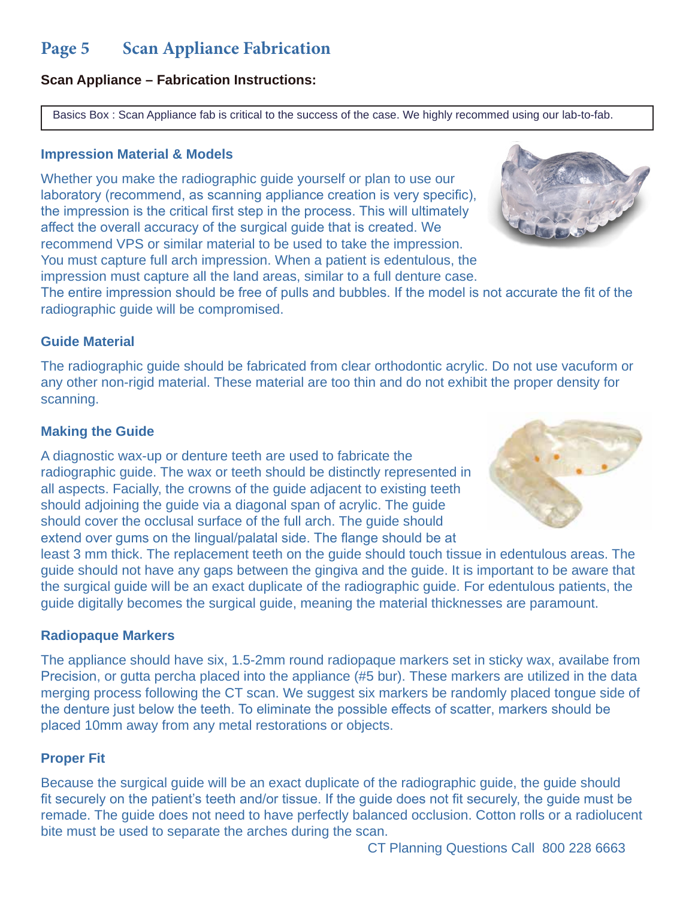### **Page 5 Scan Appliance Fabrication**

### **Scan Appliance – Fabrication Instructions:**

Basics Box : Scan Appliance fab is critical to the success of the case. We highly recommed using our lab-to-fab.

### **Impression Material & Models**

Whether you make the radiographic guide yourself or plan to use our laboratory (recommend, as scanning appliance creation is very specific), the impression is the critical first step in the process. This will ultimately affect the overall accuracy of the surgical guide that is created. We recommend VPS or similar material to be used to take the impression. You must capture full arch impression. When a patient is edentulous, the impression must capture all the land areas, similar to a full denture case.



The entire impression should be free of pulls and bubbles. If the model is not accurate the fit of the radiographic guide will be compromised.

### **Guide Material**

The radiographic guide should be fabricated from clear orthodontic acrylic. Do not use vacuform or any other non-rigid material. These material are too thin and do not exhibit the proper density for scanning.

### **Making the Guide**

A diagnostic wax-up or denture teeth are used to fabricate the radiographic guide. The wax or teeth should be distinctly represented in all aspects. Facially, the crowns of the guide adjacent to existing teeth should adjoining the guide via a diagonal span of acrylic. The guide should cover the occlusal surface of the full arch. The guide should extend over gums on the lingual/palatal side. The flange should be at



least 3 mm thick. The replacement teeth on the guide should touch tissue in edentulous areas. The guide should not have any gaps between the gingiva and the guide. It is important to be aware that the surgical guide will be an exact duplicate of the radiographic guide. For edentulous patients, the guide digitally becomes the surgical guide, meaning the material thicknesses are paramount.

### **Radiopaque Markers**

The appliance should have six, 1.5-2mm round radiopaque markers set in sticky wax, availabe from Precision, or gutta percha placed into the appliance (#5 bur). These markers are utilized in the data merging process following the CT scan. We suggest six markers be randomly placed tongue side of the denture just below the teeth. To eliminate the possible effects of scatter, markers should be placed 10mm away from any metal restorations or objects.

### **Proper Fit**

Because the surgical guide will be an exact duplicate of the radiographic guide, the guide should fit securely on the patient's teeth and/or tissue. If the guide does not fit securely, the guide must be remade. The guide does not need to have perfectly balanced occlusion. Cotton rolls or a radiolucent bite must be used to separate the arches during the scan.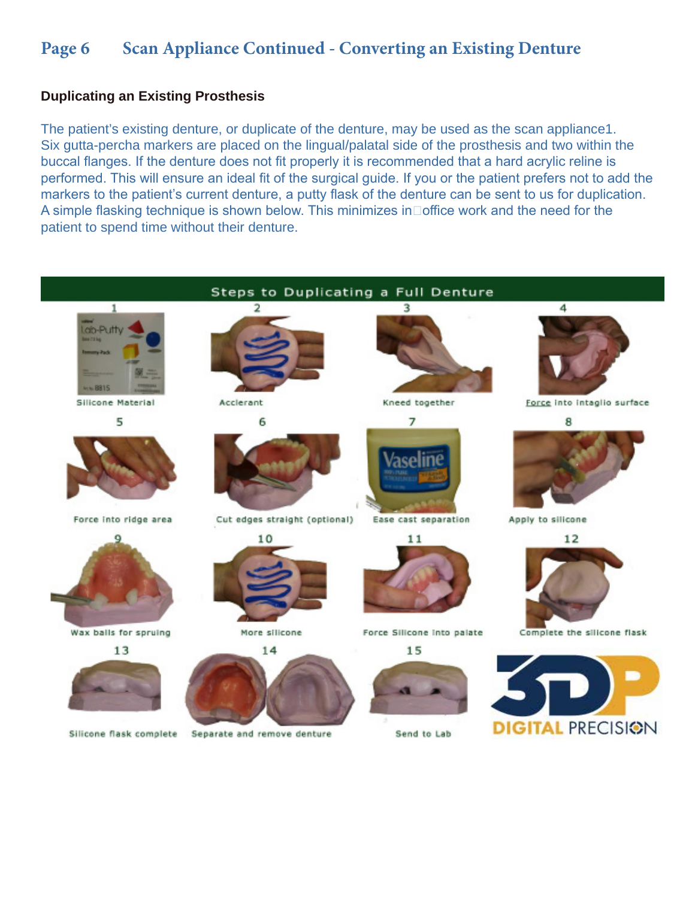### Page 6 Scan Appliance Continued - Converting an Existing Denture

#### **Duplicating an Existing Prosthesis**

The patient's existing denture, or duplicate of the denture, may be used as the scan appliance1. Six gutta-percha markers are placed on the lingual/palatal side of the prosthesis and two within the buccal flanges. If the denture does not fit properly it is recommended that a hard acrylic reline is performed. This will ensure an ideal fit of the surgical guide. If you or the patient prefers not to add the markers to the patient's current denture, a putty flask of the denture can be sent to us for duplication. A simple flasking technique is shown below. This minimizes in  $\Box$  office work and the need for the patient to spend time without their denture.

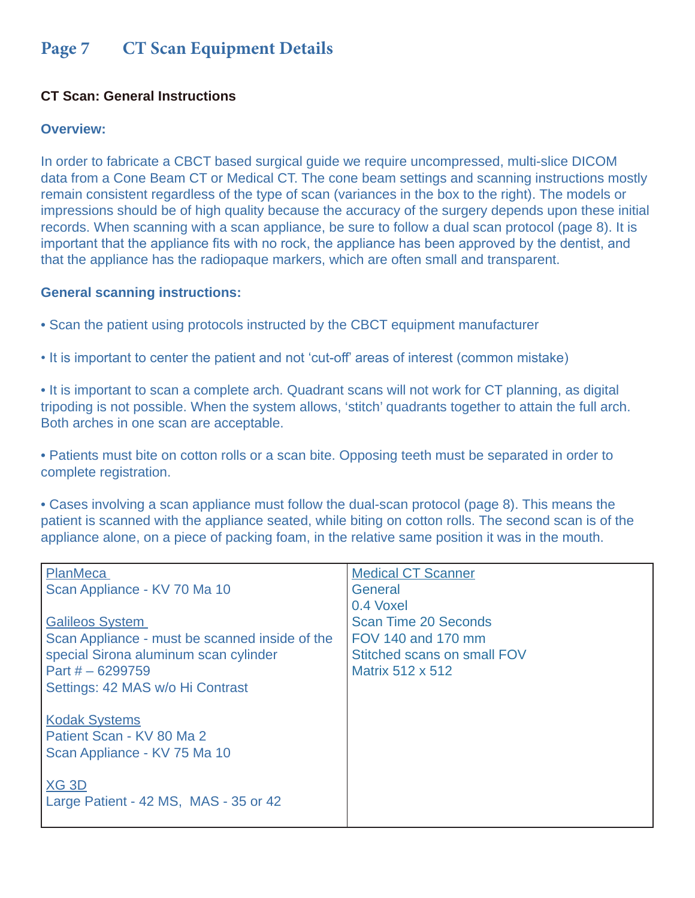## **Page 7 CT Scan Equipment Details**

### **CT Scan: General Instructions**

### **Overview:**

In order to fabricate a CBCT based surgical guide we require uncompressed, multi-slice DICOM data from a Cone Beam CT or Medical CT. The cone beam settings and scanning instructions mostly remain consistent regardless of the type of scan (variances in the box to the right). The models or impressions should be of high quality because the accuracy of the surgery depends upon these initial records. When scanning with a scan appliance, be sure to follow a dual scan protocol (page 8). It is important that the appliance fits with no rock, the appliance has been approved by the dentist, and that the appliance has the radiopaque markers, which are often small and transparent.

### **General scanning instructions:**

- Scan the patient using protocols instructed by the CBCT equipment manufacturer
- It is important to center the patient and not 'cut-off' areas of interest (common mistake)

• It is important to scan a complete arch. Quadrant scans will not work for CT planning, as digital tripoding is not possible. When the system allows, 'stitch' quadrants together to attain the full arch. Both arches in one scan are acceptable.

• Patients must bite on cotton rolls or a scan bite. Opposing teeth must be separated in order to complete registration.

• Cases involving a scan appliance must follow the dual-scan protocol (page 8). This means the patient is scanned with the appliance seated, while biting on cotton rolls. The second scan is of the appliance alone, on a piece of packing foam, in the relative same position it was in the mouth.

| <b>PlanMeca</b>                                | <b>Medical CT Scanner</b>   |
|------------------------------------------------|-----------------------------|
| Scan Appliance - KV 70 Ma 10                   | General                     |
|                                                | 0.4 Voxel                   |
| <b>Galileos System</b>                         | <b>Scan Time 20 Seconds</b> |
| Scan Appliance - must be scanned inside of the | FOV 140 and 170 mm          |
| special Sirona aluminum scan cylinder          | Stitched scans on small FOV |
| Part $# - 6299759$                             | Matrix 512 x 512            |
| Settings: 42 MAS w/o Hi Contrast               |                             |
|                                                |                             |
| <b>Kodak Systems</b>                           |                             |
| Patient Scan - KV 80 Ma 2                      |                             |
| Scan Appliance - KV 75 Ma 10                   |                             |
|                                                |                             |
| $XG$ 3D                                        |                             |
| Large Patient - 42 MS, MAS - 35 or 42          |                             |
|                                                |                             |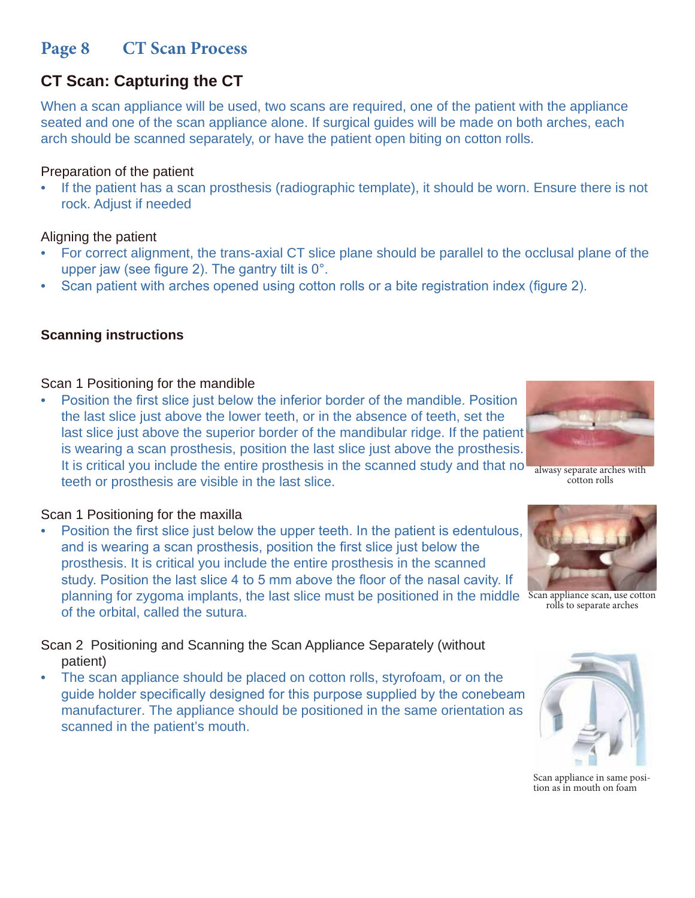## **Page 8 CT Scan Process**

# **CT Scan: Capturing the CT**

When a scan appliance will be used, two scans are required, one of the patient with the appliance seated and one of the scan appliance alone. If surgical guides will be made on both arches, each arch should be scanned separately, or have the patient open biting on cotton rolls.

### Preparation of the patient

• If the patient has a scan prosthesis (radiographic template), it should be worn. Ensure there is not rock. Adjust if needed

### Aligning the patient

- For correct alignment, the trans-axial CT slice plane should be parallel to the occlusal plane of the upper jaw (see figure 2). The gantry tilt is 0°.
- Scan patient with arches opened using cotton rolls or a bite registration index (figure 2).

### **Scanning instructions**

### Scan 1 Positioning for the mandible

• Position the first slice just below the inferior border of the mandible. Position the last slice just above the lower teeth, or in the absence of teeth, set the last slice just above the superior border of the mandibular ridge. If the patient is wearing a scan prosthesis, position the last slice just above the prosthesis. It is critical you include the entire prosthesis in the scanned study and that no teeth or prosthesis are visible in the last slice.

### Scan 1 Positioning for the maxilla

• Position the first slice just below the upper teeth. In the patient is edentulous, and is wearing a scan prosthesis, position the first slice just below the prosthesis. It is critical you include the entire prosthesis in the scanned study. Position the last slice 4 to 5 mm above the floor of the nasal cavity. If planning for zygoma implants, the last slice must be positioned in the middle Scan appliance scan, use cotton of the orbital, called the sutura.

Scan 2 Positioning and Scanning the Scan Appliance Separately (without patient)

• The scan appliance should be placed on cotton rolls, styrofoam, or on the guide holder specifically designed for this purpose supplied by the conebeam manufacturer. The appliance should be positioned in the same orientation as scanned in the patient's mouth.

alwasy separate arches with cotton rolls



rolls to separate arches



Scan appliance in same position as in mouth on foam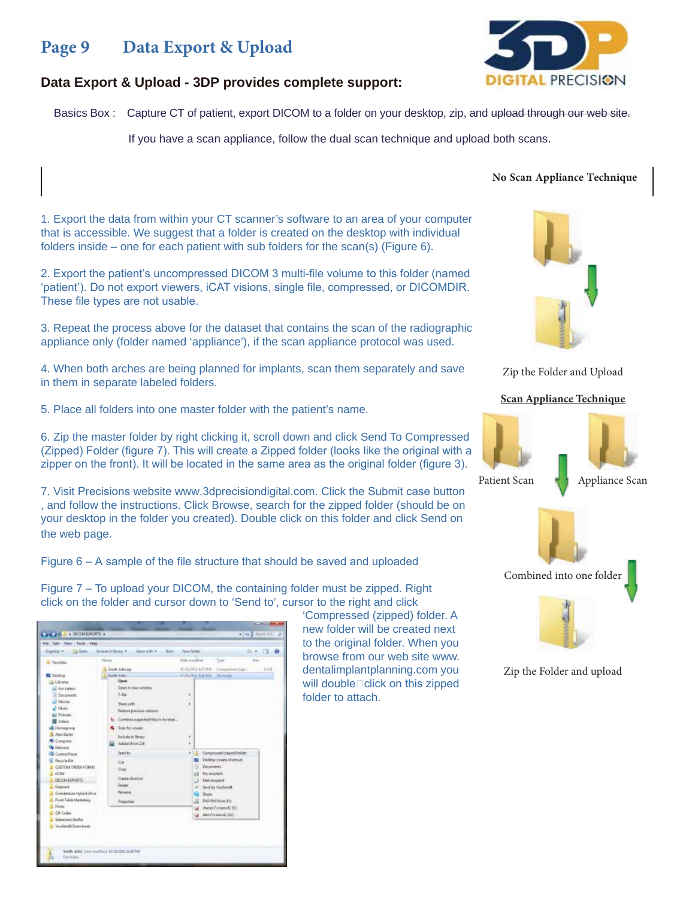### **Page 9 Data Export & Upload**



#### **Data Export & Upload - 3DP provides complete support:**

Basics Box : Capture CT of patient, export DICOM to a folder on your desktop, zip, and upload through our web site.

If you have a scan appliance, follow the dual scan technique and upload both scans.

'Compressed (zipped) folder. A new folder will be created next to the original folder. When you browse from our web site www. dentalimplantplanning.com you will double $\square$ click on this zipped

folder to attach.

1. Export the data from within your CT scanner's software to an area of your computer that is accessible. We suggest that a folder is created on the desktop with individual folders inside – one for each patient with sub folders for the scan(s) (Figure 6).

2. Export the patient's uncompressed DICOM 3 multi-file volume to this folder (named 'patient'). Do not export viewers, iCAT visions, single file, compressed, or DICOMDIR. These file types are not usable.

3. Repeat the process above for the dataset that contains the scan of the radiographic appliance only (folder named 'appliance'), if the scan appliance protocol was used.

4. When both arches are being planned for implants, scan them separately and save in them in separate labeled folders.

5. Place all folders into one master folder with the patient's name.

6. Zip the master folder by right clicking it, scroll down and click Send To Compressed (Zipped) Folder (figure 7). This will create a Zipped folder (looks like the original with a zipper on the front). It will be located in the same area as the original folder (figure 3).

7. Visit Precisions website www.3dprecisiondigital.com. Click the Submit case button , and follow the instructions. Click Browse, search for the zipped folder (should be on your desktop in the folder you created). Double click on this folder and click Send on the web page.

Figure 6 – A sample of the file structure that should be saved and uploaded

Figure 7 – To upload your DICOM, the containing folder must be zipped. Right click on the folder and cursor down to 'Send to', cursor to the right and click

| the first View Tools (How                                                                                                                                                                                                                                                                                                                                                                                                                        | Bichala Hillsale, w.<br>Stewart 4 - Bark                                                                                                                                                                                                                 | <b>Tian Falike</b>                                                                                                                                                                                                                                                                                                                                                                                                                                               |                                                                                                                                                                                                                                    |                   |
|--------------------------------------------------------------------------------------------------------------------------------------------------------------------------------------------------------------------------------------------------------------------------------------------------------------------------------------------------------------------------------------------------------------------------------------------------|----------------------------------------------------------------------------------------------------------------------------------------------------------------------------------------------------------------------------------------------------------|------------------------------------------------------------------------------------------------------------------------------------------------------------------------------------------------------------------------------------------------------------------------------------------------------------------------------------------------------------------------------------------------------------------------------------------------------------------|------------------------------------------------------------------------------------------------------------------------------------------------------------------------------------------------------------------------------------|-------------------|
|                                                                                                                                                                                                                                                                                                                                                                                                                                                  |                                                                                                                                                                                                                                                          |                                                                                                                                                                                                                                                                                                                                                                                                                                                                  |                                                                                                                                                                                                                                    | $= -1.0$          |
| Tel: Faccottan<br><b>Carlos</b><br>La Libraries<br>all Act Lettes<br>Dotuments.<br><b>Mover</b><br>2 Marc<br>all Pichaer<br><b>B</b> Videos<br><b>HE HENGING</b><br>Alah Banko<br><b>N</b> Consults<br><b>M. Historick</b><br>Comrol Panel<br>Republic<br>CUSTOM CROSS FORMS<br>DOM:<br>DECOM/EXPORTS<br>Elephant<br>Gyenleisure Hybeld Alf or<br><b>Pinot Takita Macheting</b><br>Péres.<br>G6 Codes<br>Statement Stuffer<br>Vealers@Dissolands | <b>Tuberran</b><br>Smith Islands<br><b>Gaile, John</b><br>Open<br>Open in year solution<br>1.76<br>The costs.<br>Redort pressus veisions<br>B. Combine supported files in Acrobat<br>-Scan for visuals<br>ĸ<br>Exclude in Tibrary<br>Adulta Drive (1981) | <b>Total Avenue</b><br>٠<br>×<br>r                                                                                                                                                                                                                                                                                                                                                                                                                               | Tues.<br>HAURIENTIN Commercions<br><b>FEMALES &amp; ALAN AVAILABLE</b>                                                                                                                                                             | <b>Lu</b><br>1318 |
|                                                                                                                                                                                                                                                                                                                                                                                                                                                  | <b>Bredito</b><br>Cub<br>Copy<br>Create thorour<br><b>Gener</b><br><b><i><u>Remaintain</u></i></b><br>Properties                                                                                                                                         | $\mathbb{E} \left[ \begin{array}{c} \mathbb{E} \left[ \begin{array}{c} \mathbb{E} \left[ \mathbb{E} \left[ \mathbb{E} \left[ \mathbb{E} \left[ \mathbb{E} \left[ \mathbb{E} \left[ \mathbb{E} \left[ \mathbb{E} \left[ \mathbb{E} \left[ \mathbb{E} \left[ \mathbb{E} \left[ \mathbb{E} \left[ \mathbb{E} \left[ \mathbb{E} \left[ \mathbb{E} \left[ \mathbb{E} \left[ \mathbb{E} \left[ \mathbb{E} \left[ \mathbb{E} \left[ \mathbb{E} \left[ \mathbb{E} \left$ | Compressed (zapadž řekšer)<br>Destrip (create illustrat)<br>Datarweitz<br><b>Farmoplett</b><br><b>Atlat inclusivit</b><br>Sent to Voulands<br>Sisie<br>END RW Drive (81)<br>theird (Values (1) DO<br>u<br>alan (Oranout) (UL)<br>٠ |                   |

#### **No Scan Appliance Technique**



Zip the Folder and Upload

#### **Scan Appliance Technique**





Zip the Folder and upload